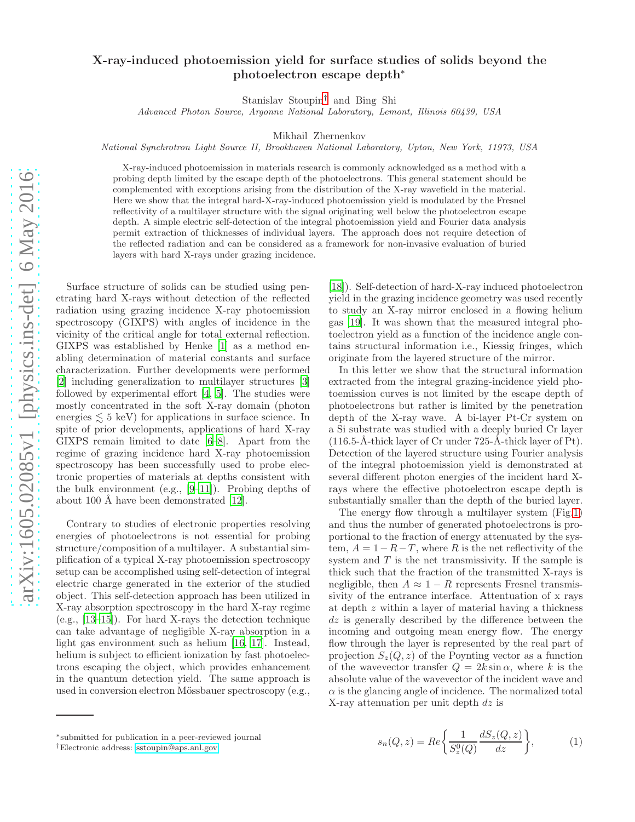# X-ray-induced photoemission yield for surface studies of solids beyond the photoelectron escape depth<sup>∗</sup>

Stanislav Stoupin[†](#page-0-0) and Bing Shi

Advanced Photon Source, Argonne National Laboratory, Lemont, Illinois 60439, USA

Mikhail Zhernenkov

National Synchrotron Light Source II, Brookhaven National Laboratory, Upton, New York, 11973, USA

X-ray-induced photoemission in materials research is commonly acknowledged as a method with a probing depth limited by the escape depth of the photoelectrons. This general statement should be complemented with exceptions arising from the distribution of the X-ray wavefield in the material. Here we show that the integral hard-X-ray-induced photoemission yield is modulated by the Fresnel reflectivity of a multilayer structure with the signal originating well below the photoelectron escape depth. A simple electric self-detection of the integral photoemission yield and Fourier data analysis permit extraction of thicknesses of individual layers. The approach does not require detection of the reflected radiation and can be considered as a framework for non-invasive evaluation of buried layers with hard X-rays under grazing incidence.

Surface structure of solids can be studied using penetrating hard X-rays without detection of the reflected radiation using grazing incidence X-ray photoemission spectroscopy (GIXPS) with angles of incidence in the vicinity of the critical angle for total external reflection. GIXPS was established by Henke [\[1](#page-5-0)] as a method enabling determination of material constants and surface characterization. Further developments were performed [\[2\]](#page-5-1) including generalization to multilayer structures [\[3](#page-5-2)] followed by experimental effort [\[4,](#page-5-3) [5](#page-5-4)]. The studies were mostly concentrated in the soft X-ray domain (photon energies  $\leq 5$  keV) for applications in surface science. In spite of prior developments, applications of hard X-ray GIXPS remain limited to date [\[6](#page-5-5)[–8](#page-5-6)]. Apart from the regime of grazing incidence hard X-ray photoemission spectroscopy has been successfully used to probe electronic properties of materials at depths consistent with the bulk environment (e.g., [\[9](#page-5-7)[–11\]](#page-5-8)). Probing depths of about 100 Å have been demonstrated  $[12]$ .

Contrary to studies of electronic properties resolving energies of photoelectrons is not essential for probing structure/composition of a multilayer. A substantial simplification of a typical X-ray photoemission spectroscopy setup can be accomplished using self-detection of integral electric charge generated in the exterior of the studied object. This self-detection approach has been utilized in X-ray absorption spectroscopy in the hard X-ray regime (e.g., [\[13](#page-5-10)[–15](#page-5-11)]). For hard X-rays the detection technique can take advantage of negligible X-ray absorption in a light gas environment such as helium [\[16,](#page-5-12) [17](#page-5-13)]. Instead, helium is subject to efficient ionization by fast photoelectrons escaping the object, which provides enhancement in the quantum detection yield. The same approach is used in conversion electron Mössbauer spectroscopy (e.g.,

[\[18\]](#page-5-14)). Self-detection of hard-X-ray induced photoelectron yield in the grazing incidence geometry was used recently to study an X-ray mirror enclosed in a flowing helium gas [\[19\]](#page-5-15). It was shown that the measured integral photoelectron yield as a function of the incidence angle contains structural information i.e., Kiessig fringes, which originate from the layered structure of the mirror.

In this letter we show that the structural information extracted from the integral grazing-incidence yield photoemission curves is not limited by the escape depth of photoelectrons but rather is limited by the penetration depth of the X-ray wave. A bi-layer Pt-Cr system on a Si substrate was studied with a deeply buried Cr layer  $(116.5-A-thick layer of Cr under 725-A-thick layer of Pt).$ Detection of the layered structure using Fourier analysis of the integral photoemission yield is demonstrated at several different photon energies of the incident hard Xrays where the effective photoelectron escape depth is substantially smaller than the depth of the buried layer.

The energy flow through a multilayer system (Fig[.1\)](#page-1-0) and thus the number of generated photoelectrons is proportional to the fraction of energy attenuated by the system,  $A = 1 - R - T$ , where R is the net reflectivity of the system and  $T$  is the net transmissivity. If the sample is thick such that the fraction of the transmitted X-rays is negligible, then  $A \approx 1 - R$  represents Fresnel transmissivity of the entrance interface. Attentuation of x rays at depth z within a layer of material having a thickness  $dz$  is generally described by the difference between the incoming and outgoing mean energy flow. The energy flow through the layer is represented by the real part of projection  $S_z(Q, z)$  of the Poynting vector as a function of the wavevector transfer  $Q = 2k \sin \alpha$ , where k is the absolute value of the wavevector of the incident wave and  $\alpha$  is the glancing angle of incidence. The normalized total X-ray attenuation per unit depth  $dz$  is

$$
s_n(Q, z) = Re \left\{ \frac{1}{S_z^0(Q)} \frac{dS_z(Q, z)}{dz} \right\},\tag{1}
$$

<sup>∗</sup> submitted for publication in a peer-reviewed journal

<span id="page-0-0"></span><sup>†</sup>Electronic address: [sstoupin@aps.anl.gov](mailto:sstoupin@aps.anl.gov)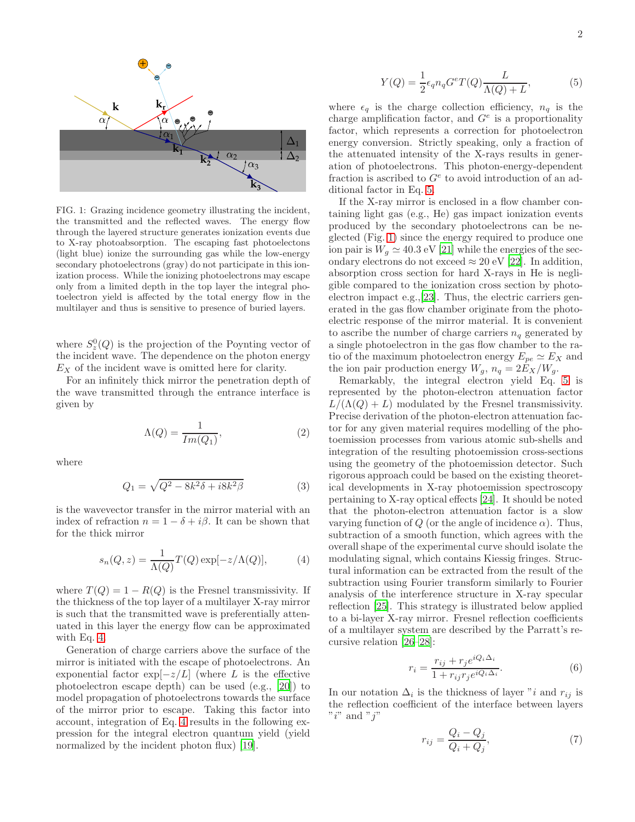

<span id="page-1-0"></span>FIG. 1: Grazing incidence geometry illustrating the incident, the transmitted and the reflected waves. The energy flow through the layered structure generates ionization events due to X-ray photoabsorption. The escaping fast photoelectons (light blue) ionize the surrounding gas while the low-energy secondary photoelectrons (gray) do not participate in this ionization process. While the ionizing photoelectrons may escape only from a limited depth in the top layer the integral photoelectron yield is affected by the total energy flow in the multilayer and thus is sensitive to presence of buried layers.

where  $S_z^0(Q)$  is the projection of the Poynting vector of the incident wave. The dependence on the photon energy  $E<sub>X</sub>$  of the incident wave is omitted here for clarity.

For an infinitely thick mirror the penetration depth of the wave transmitted through the entrance interface is given by

$$
\Lambda(Q) = \frac{1}{Im(Q_1)},\tag{2}
$$

where

$$
Q_1 = \sqrt{Q^2 - 8k^2\delta + i8k^2\beta}
$$
 (3)

is the wavevector transfer in the mirror material with an index of refraction  $n = 1 - \delta + i\beta$ . It can be shown that for the thick mirror

<span id="page-1-1"></span>
$$
s_n(Q, z) = \frac{1}{\Lambda(Q)} T(Q) \exp[-z/\Lambda(Q)], \tag{4}
$$

where  $T(Q) = 1 - R(Q)$  is the Fresnel transmissivity. If the thickness of the top layer of a multilayer X-ray mirror is such that the transmitted wave is preferentially attenuated in this layer the energy flow can be approximated with Eq. [4.](#page-1-1)

Generation of charge carriers above the surface of the mirror is initiated with the escape of photoelectrons. An exponential factor  $\exp[-z/L]$  (where L is the effective photoelectron escape depth) can be used (e.g., [\[20](#page-5-16)]) to model propagation of photoelectrons towards the surface of the mirror prior to escape. Taking this factor into account, integration of Eq. [4](#page-1-1) results in the following expression for the integral electron quantum yield (yield normalized by the incident photon flux) [\[19\]](#page-5-15).

<span id="page-1-2"></span>
$$
Y(Q) = \frac{1}{2} \epsilon_q n_q G^e T(Q) \frac{L}{\Lambda(Q) + L},\tag{5}
$$

where  $\epsilon_q$  is the charge collection efficiency,  $n_q$  is the charge amplification factor, and  $G^e$  is a proportionality factor, which represents a correction for photoelectron energy conversion. Strictly speaking, only a fraction of the attenuated intensity of the X-rays results in generation of photoelectrons. This photon-energy-dependent fraction is ascribed to  $G^e$  to avoid introduction of an additional factor in Eq. [5.](#page-1-2)

If the X-ray mirror is enclosed in a flow chamber containing light gas (e.g., He) gas impact ionization events produced by the secondary photoelectrons can be neglected (Fig. [1\)](#page-1-0) since the energy required to produce one ion pair is  $W_g \simeq 40.3 \text{ eV}$  [\[21\]](#page-5-17) while the energies of the secondary electrons do not exceed  $\approx 20 \text{ eV}$  [\[22\]](#page-5-18). In addition, absorption cross section for hard X-rays in He is negligible compared to the ionization cross section by photoelectron impact e.g.,[\[23\]](#page-5-19). Thus, the electric carriers generated in the gas flow chamber originate from the photoelectric response of the mirror material. It is convenient to ascribe the number of charge carriers  $n_q$  generated by a single photoelectron in the gas flow chamber to the ratio of the maximum photoelectron energy  $E_{pe} \simeq E_X$  and the ion pair production energy  $W_g$ ,  $n_q = 2E_X/W_g$ .

Remarkably, the integral electron yield Eq. [5](#page-1-2) is represented by the photon-electron attenuation factor  $L/(\Lambda(Q) + L)$  modulated by the Fresnel transmissivity. Precise derivation of the photon-electron attenuation factor for any given material requires modelling of the photoemission processes from various atomic sub-shells and integration of the resulting photoemission cross-sections using the geometry of the photoemission detector. Such rigorous approach could be based on the existing theoretical developments in X-ray photoemission spectroscopy pertaining to X-ray optical effects [\[24](#page-5-20)]. It should be noted that the photon-electron attenuation factor is a slow varying function of Q (or the angle of incidence  $\alpha$ ). Thus, subtraction of a smooth function, which agrees with the overall shape of the experimental curve should isolate the modulating signal, which contains Kiessig fringes. Structural information can be extracted from the result of the subtraction using Fourier transform similarly to Fourier analysis of the interference structure in X-ray specular reflection [\[25\]](#page-5-21). This strategy is illustrated below applied to a bi-layer X-ray mirror. Fresnel reflection coefficients of a multilayer system are described by the Parratt's recursive relation [\[26](#page-5-22)[–28\]](#page-5-23):

$$
r_i = \frac{r_{ij} + r_j e^{iQ_i \Delta_i}}{1 + r_{ij} r_j e^{iQ_i \Delta_i}}.
$$
\n
$$
(6)
$$

In our notation  $\Delta_i$  is the thickness of layer "i and  $r_{ij}$  is the reflection coefficient of the interface between layers "i" and " $i$ "

$$
r_{ij} = \frac{Q_i - Q_j}{Q_i + Q_j},\tag{7}
$$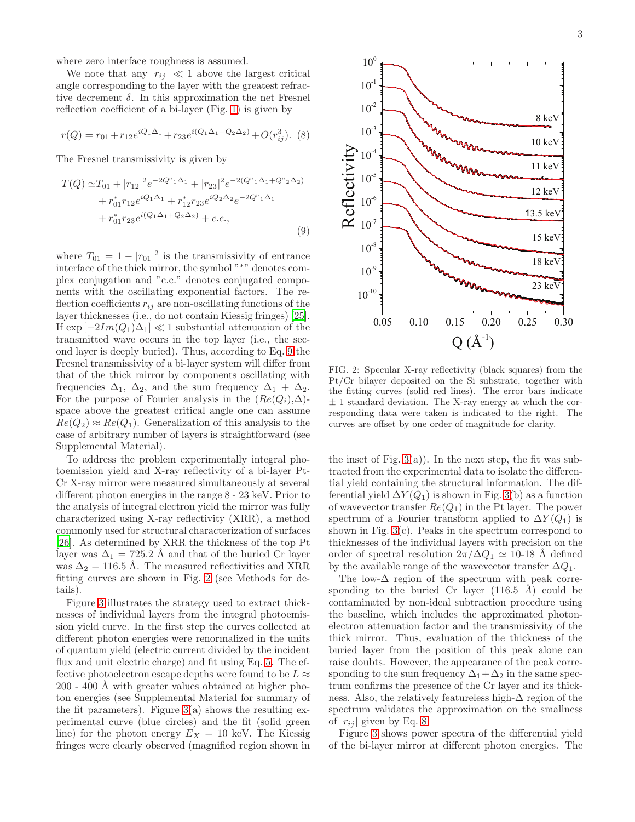where zero interface roughness is assumed.

We note that any  $|r_{ij}| \ll 1$  above the largest critical angle corresponding to the layer with the greatest refractive decrement  $\delta$ . In this approximation the net Fresnel reflection coefficient of a bi-layer (Fig. [1\)](#page-1-0) is given by

<span id="page-2-2"></span>
$$
r(Q) = r_{01} + r_{12}e^{iQ_1\Delta_1} + r_{23}e^{i(Q_1\Delta_1 + Q_2\Delta_2)} + O(r_{ij}^3).
$$
 (8)

The Fresnel transmissivity is given by

<span id="page-2-0"></span>
$$
T(Q) \simeq T_{01} + |r_{12}|^2 e^{-2Q^{\nu_1}\Delta_1} + |r_{23}|^2 e^{-2(Q^{\nu_1}\Delta_1 + Q^{\nu_2}\Delta_2)} + r_{01}^* r_{12} e^{iQ_1\Delta_1} + r_{12}^* r_{23} e^{iQ_2\Delta_2} e^{-2Q^{\nu_1}\Delta_1} + r_{01}^* r_{23} e^{i(Q_1\Delta_1 + Q_2\Delta_2)} + c.c.,
$$
\n(9)

where  $T_{01} = 1 - |r_{01}|^2$  is the transmissivity of entrance interface of the thick mirror, the symbol "∗" denotes complex conjugation and "c.c." denotes conjugated components with the oscillating exponential factors. The reflection coefficients  $r_{ij}$  are non-oscillating functions of the layer thicknesses (i.e., do not contain Kiessig fringes) [\[25\]](#page-5-21). If  $\exp[-2Im(Q_1)\Delta_1] \ll 1$  substantial attenuation of the transmitted wave occurs in the top layer (i.e., the second layer is deeply buried). Thus, according to Eq. [9](#page-2-0) the Fresnel transmissivity of a bi-layer system will differ from that of the thick mirror by components oscillating with frequencies  $\Delta_1$ ,  $\Delta_2$ , and the sum frequency  $\Delta_1 + \Delta_2$ . For the purpose of Fourier analysis in the  $(Re(Q_i), \Delta)$ space above the greatest critical angle one can assume  $Re(Q_2) \approx Re(Q_1)$ . Generalization of this analysis to the case of arbitrary number of layers is straightforward (see Supplemental Material).

To address the problem experimentally integral photoemission yield and X-ray reflectivity of a bi-layer Pt-Cr X-ray mirror were measured simultaneously at several different photon energies in the range 8 - 23 keV. Prior to the analysis of integral electron yield the mirror was fully characterized using X-ray reflectivity (XRR), a method commonly used for structural characterization of surfaces [\[26\]](#page-5-22). As determined by XRR the thickness of the top Pt layer was  $\Delta_1 = 725.2$  Å and that of the buried Cr layer was  $\Delta_2 = 116.5$  Å. The measured reflectivities and XRR fitting curves are shown in Fig. [2](#page-2-1) (see Methods for details).

Figure [3](#page-3-0) illustrates the strategy used to extract thicknesses of individual layers from the integral photoemission yield curve. In the first step the curves collected at different photon energies were renormalized in the units of quantum yield (electric current divided by the incident flux and unit electric charge) and fit using Eq. [5.](#page-1-2) The effective photoelectron escape depths were found to be  $L \approx$  $200 - 400$  Å with greater values obtained at higher photon energies (see Supplemental Material for summary of the fit parameters). Figure  $3(a)$  shows the resulting experimental curve (blue circles) and the fit (solid green line) for the photon energy  $E_X = 10$  keV. The Kiessig fringes were clearly observed (magnified region shown in



<span id="page-2-1"></span>FIG. 2: Specular X-ray reflectivity (black squares) from the Pt/Cr bilayer deposited on the Si substrate, together with the fitting curves (solid red lines). The error bars indicate  $\pm$  1 standard deviation. The X-ray energy at which the corresponding data were taken is indicated to the right. The curves are offset by one order of magnitude for clarity.

the inset of Fig.  $3(a)$ ). In the next step, the fit was subtracted from the experimental data to isolate the differential yield containing the structural information. The differential yield  $\Delta Y(Q_1)$  is shown in Fig. [3\(](#page-3-0)b) as a function of wavevector transfer  $Re(Q_1)$  in the Pt layer. The power spectrum of a Fourier transform applied to  $\Delta Y(Q_1)$  is shown in Fig. [3\(](#page-3-0)c). Peaks in the spectrum correspond to thicknesses of the individual layers with precision on the order of spectral resolution  $2\pi/\Delta Q_1 \simeq 10$ -18 Å defined by the available range of the wavevector transfer  $\Delta Q_1$ .

The low- $\Delta$  region of the spectrum with peak corresponding to the buried Cr layer  $(116.5 \text{ Å})$  could be contaminated by non-ideal subtraction procedure using the baseline, which includes the approximated photonelectron attenuation factor and the transmissivity of the thick mirror. Thus, evaluation of the thickness of the buried layer from the position of this peak alone can raise doubts. However, the appearance of the peak corresponding to the sum frequency  $\Delta_1+\Delta_2$  in the same spectrum confirms the presence of the Cr layer and its thickness. Also, the relatively featureless high- $\Delta$  region of the spectrum validates the approximation on the smallness of  $|r_{ii}|$  given by Eq. [8.](#page-2-2)

Figure [3](#page-3-0) shows power spectra of the differential yield of the bi-layer mirror at different photon energies. The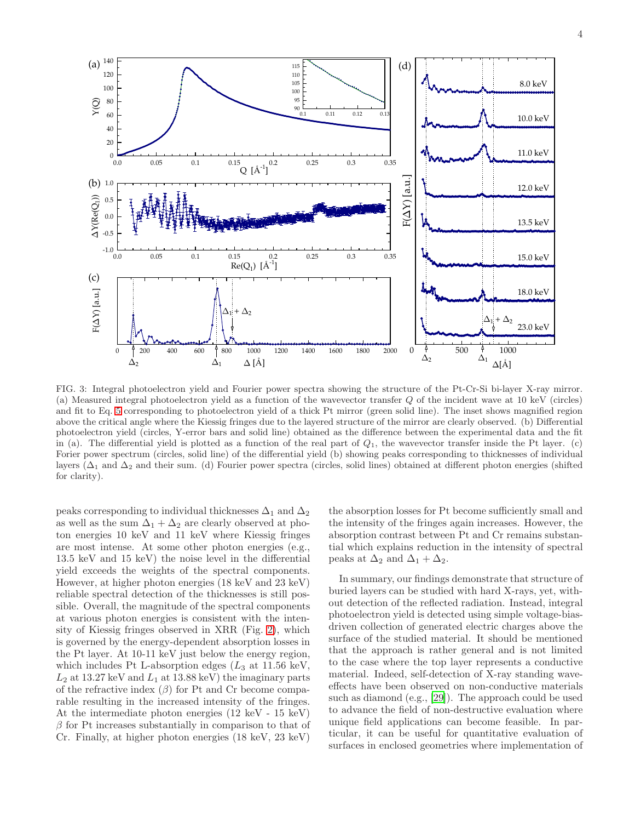

<span id="page-3-0"></span>FIG. 3: Integral photoelectron yield and Fourier power spectra showing the structure of the Pt-Cr-Si bi-layer X-ray mirror. (a) Measured integral photoelectron yield as a function of the wavevector transfer Q of the incident wave at 10 keV (circles) and fit to Eq. [5](#page-1-2) corresponding to photoelectron yield of a thick Pt mirror (green solid line). The inset shows magnified region above the critical angle where the Kiessig fringes due to the layered structure of the mirror are clearly observed. (b) Differential photoelectron yield (circles, Y-error bars and solid line) obtained as the difference between the experimental data and the fit in (a). The differential yield is plotted as a function of the real part of  $Q_1$ , the wavevector transfer inside the Pt layer. (c) Forier power spectrum (circles, solid line) of the differential yield (b) showing peaks corresponding to thicknesses of individual layers ( $\Delta_1$  and  $\Delta_2$  and their sum. (d) Fourier power spectra (circles, solid lines) obtained at different photon energies (shifted for clarity).

peaks corresponding to individual thicknesses  $\Delta_1$  and  $\Delta_2$ as well as the sum  $\Delta_1 + \Delta_2$  are clearly observed at photon energies 10 keV and 11 keV where Kiessig fringes are most intense. At some other photon energies (e.g., 13.5 keV and 15 keV) the noise level in the differential yield exceeds the weights of the spectral components. However, at higher photon energies (18 keV and 23 keV) reliable spectral detection of the thicknesses is still possible. Overall, the magnitude of the spectral components at various photon energies is consistent with the intensity of Kiessig fringes observed in XRR (Fig. [2\)](#page-2-1), which is governed by the energy-dependent absorption losses in the Pt layer. At 10-11 keV just below the energy region, which includes Pt L-absorption edges  $(L_3 \text{ at } 11.56 \text{ keV})$ ,  $L_2$  at 13.27 keV and  $L_1$  at 13.88 keV) the imaginary parts of the refractive index  $(\beta)$  for Pt and Cr become comparable resulting in the increased intensity of the fringes. At the intermediate photon energies (12 keV - 15 keV)  $\beta$  for Pt increases substantially in comparison to that of Cr. Finally, at higher photon energies (18 keV, 23 keV)

the absorption losses for Pt become sufficiently small and the intensity of the fringes again increases. However, the absorption contrast between Pt and Cr remains substantial which explains reduction in the intensity of spectral peaks at  $\Delta_2$  and  $\Delta_1 + \Delta_2$ .

In summary, our findings demonstrate that structure of buried layers can be studied with hard X-rays, yet, without detection of the reflected radiation. Instead, integral photoelectron yield is detected using simple voltage-biasdriven collection of generated electric charges above the surface of the studied material. It should be mentioned that the approach is rather general and is not limited to the case where the top layer represents a conductive material. Indeed, self-detection of X-ray standing waveeffects have been observed on non-conductive materials such as diamond (e.g., [\[29\]](#page-5-24)). The approach could be used to advance the field of non-destructive evaluation where unique field applications can become feasible. In particular, it can be useful for quantitative evaluation of surfaces in enclosed geometries where implementation of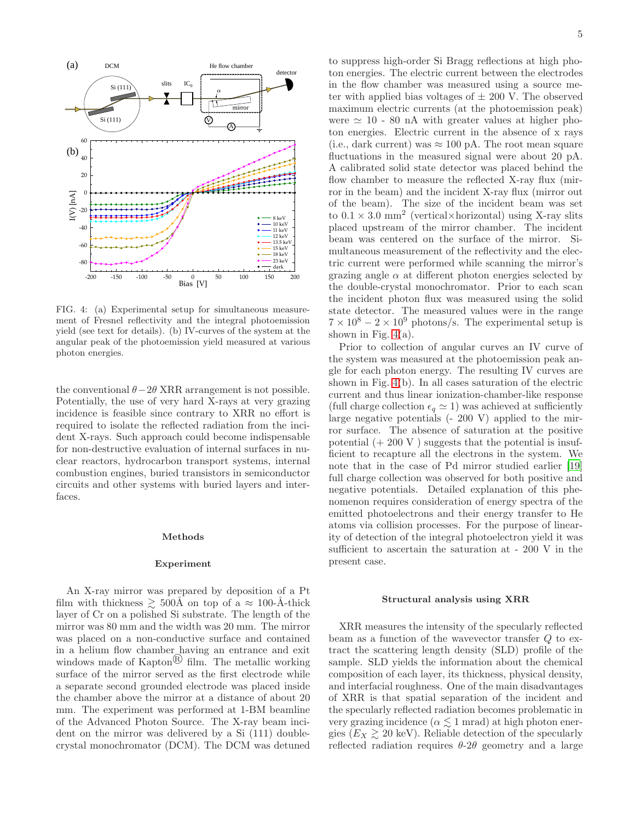

<span id="page-4-0"></span>FIG. 4: (a) Experimental setup for simultaneous measurement of Fresnel reflectivity and the integral photoemission yield (see text for details). (b) IV-curves of the system at the angular peak of the photoemission yield measured at various photon energies.

the conventional  $\theta-2\theta$  XRR arrangement is not possible. Potentially, the use of very hard X-rays at very grazing incidence is feasible since contrary to XRR no effort is required to isolate the reflected radiation from the incident X-rays. Such approach could become indispensable for non-destructive evaluation of internal surfaces in nuclear reactors, hydrocarbon transport systems, internal combustion engines, buried transistors in semiconductor circuits and other systems with buried layers and interfaces.

## Methods

### Experiment

An X-ray mirror was prepared by deposition of a Pt film with thickness  $\geq 500\text{\AA}$  on top of a  $\approx 100$ -Å-thick layer of Cr on a polished Si substrate. The length of the mirror was 80 mm and the width was 20 mm. The mirror was placed on a non-conductive surface and contained in a helium flow chamber having an entrance and exit windows made of  $\text{Kapton}^{\textcircled{R}}$  film. The metallic working surface of the mirror served as the first electrode while a separate second grounded electrode was placed inside the chamber above the mirror at a distance of about 20 mm. The experiment was performed at 1-BM beamline of the Advanced Photon Source. The X-ray beam incident on the mirror was delivered by a Si (111) doublecrystal monochromator (DCM). The DCM was detuned

to suppress high-order Si Bragg reflections at high photon energies. The electric current between the electrodes in the flow chamber was measured using a source meter with applied bias voltages of  $\pm 200$  V. The observed maximum electric currents (at the photoemission peak) were  $\simeq$  10 - 80 nA with greater values at higher photon energies. Electric current in the absence of x rays (i.e., dark current) was  $\approx 100$  pA. The root mean square fluctuations in the measured signal were about 20 pA. A calibrated solid state detector was placed behind the flow chamber to measure the reflected X-ray flux (mirror in the beam) and the incident X-ray flux (mirror out of the beam). The size of the incident beam was set to  $0.1 \times 3.0$  mm<sup>2</sup> (vertical×horizontal) using X-ray slits placed upstream of the mirror chamber. The incident beam was centered on the surface of the mirror. Simultaneous measurement of the reflectivity and the electric current were performed while scanning the mirror's grazing angle  $\alpha$  at different photon energies selected by the double-crystal monochromator. Prior to each scan the incident photon flux was measured using the solid state detector. The measured values were in the range  $7 \times 10^8 - 2 \times 10^9$  photons/s. The experimental setup is shown in Fig.  $4(a)$ .

Prior to collection of angular curves an IV curve of the system was measured at the photoemission peak angle for each photon energy. The resulting IV curves are shown in Fig. [4\(](#page-4-0)b). In all cases saturation of the electric current and thus linear ionization-chamber-like response (full charge collection  $\epsilon_q \simeq 1$ ) was achieved at sufficiently large negative potentials (- 200 V) applied to the mirror surface. The absence of saturation at the positive potential  $(+ 200 V)$  suggests that the potential is insufficient to recapture all the electrons in the system. We note that in the case of Pd mirror studied earlier [\[19](#page-5-15)] full charge collection was observed for both positive and negative potentials. Detailed explanation of this phenomenon requires consideration of energy spectra of the emitted photoelectrons and their energy transfer to He atoms via collision processes. For the purpose of linearity of detection of the integral photoelectron yield it was sufficient to ascertain the saturation at - 200 V in the present case.

## Structural analysis using XRR

XRR measures the intensity of the specularly reflected beam as a function of the wavevector transfer Q to extract the scattering length density (SLD) profile of the sample. SLD yields the information about the chemical composition of each layer, its thickness, physical density, and interfacial roughness. One of the main disadvantages of XRR is that spatial separation of the incident and the specularly reflected radiation becomes problematic in very grazing incidence ( $\alpha \lesssim 1$  mrad) at high photon energies  $(E_X \geq 20 \text{ keV})$ . Reliable detection of the specularly reflected radiation requires  $\theta$ -2 $\theta$  geometry and a large